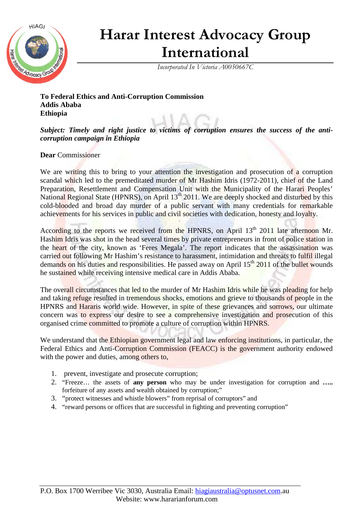

## **Harar Interest Advocacy Group International**

*Incorporated In Victoria A0050667C*

**To Federal Ethics and Anti-Corruption Commission Addis Ababa Ethiopia** 

*Subject: Timely and right justice to victims of corruption ensures the success of the anticorruption campaign in Ethiopia* 

## **Dear** Commissioner

We are writing this to bring to your attention the investigation and prosecution of a corruption scandal which led to the premeditated murder of Mr Hashim Idris (1972-2011), chief of the Land Preparation, Resettlement and Compensation Unit with the Municipality of the Harari Peoples' National Regional State (HPNRS), on April 13<sup>th</sup> 2011. We are deeply shocked and disturbed by this cold-blooded and broad day murder of a public servant with many credentials for remarkable achievements for his services in public and civil societies with dedication, honesty and loyalty.

According to the reports we received from the HPNRS, on April 13<sup>th</sup> 2011 late afternoon Mr. Hashim Idris was shot in the head several times by private entrepreneurs in front of police station in the heart of the city, known as 'Feres Megala'. The report indicates that the assassination was carried out following Mr Hashim's resistance to harassment, intimidation and threats to fulfil illegal demands on his duties and responsibilities. He passed away on April  $15<sup>th</sup>$  2011 of the bullet wounds he sustained while receiving intensive medical care in Addis Ababa.

The overall circumstances that led to the murder of Mr Hashim Idris while he was pleading for help and taking refuge resulted in tremendous shocks, emotions and grieve to thousands of people in the HPNRS and Hararis world wide. However, in spite of these grievances and sorrows, our ultimate concern was to express our desire to see a comprehensive investigation and prosecution of this organised crime committed to promote a culture of corruption within HPNRS.

We understand that the Ethiopian government legal and law enforcing institutions, in particular, the Federal Ethics and Anti-Corruption Commission (FEACC) is the government authority endowed with the power and duties, among others to,

- 1. prevent, investigate and prosecute corruption;
- 2. "Freeze… the assets of **any person** who may be under investigation for corruption and **…..**  forfeiture of any assets and wealth obtained by corruption;"
- 3. "protect witnesses and whistle blowers" from reprisal of corruptors" and
- 4. "reward persons or offices that are successful in fighting and preventing corruption"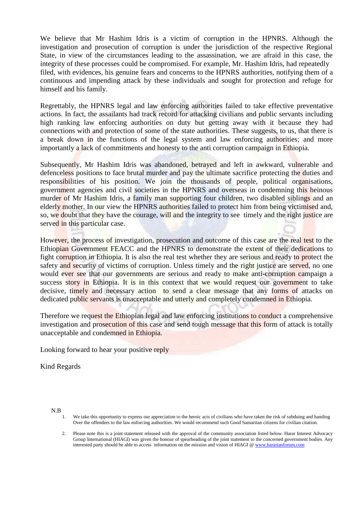We believe that Mr Hashim Idris is a victim of corruption in the HPNRS. Although the investigation and prosecution of corruption is under the jurisdiction of the respective Regional State, in view of the circumstances leading to the assassination, we are afraid in this case, the integrity of these processes could be compromised. For example, Mr. Hashim Idris, had repeatedly filed, with evidences, his genuine fears and concerns to the HPNRS authorities, notifying them of a continuous and impending attack by these individuals and sought for protection and refuge for himself and his family.

Regrettably, the HPNRS legal and law enforcing authorities failed to take effective preventative actions. In fact, the assailants had track record for attacking civilians and public servants including high ranking law enforcing authorities on duty but getting away with it because they had connections with and protection of some of the state authorities. These suggests, to us, that there is a break down in the functions of the legal system and law enforcing authorities; and more importantly a lack of commitments and honesty to the anti corruption campaign in Ethiopia.

Subsequently, Mr Hashim Idris was abandoned, betrayed and left in awkward, vulnerable and defenceless positions to face brutal murder and pay the ultimate sacrifice protecting the duties and responsibilities of his position. We join the thousands of people, political organisations, government agencies and civil societies in the HPNRS and overseas in condemning this heinous murder of Mr Hashim Idris, a family man supporting four children, two disabled siblings and an elderly mother. In our view the HPNRS authorities failed to protect him from being victimised and, so, we doubt that they have the courage, will and the integrity to see timely and the right justice are served in this particular case.

However, the process of investigation, prosecution and outcome of this case are the real test to the Ethiopian Government FEACC and the HPNRS to demonstrate the extent of their dedications to fight corruption in Ethiopia. It is also the real test whether they are serious and ready to protect the safety and security of victims of corruption. Unless timely and the right justice are served, no one would ever see that our governments are serious and ready to make anti-corruption campaign a success story in Ethiopia. It is in this context that we would request our government to take decisive, timely and necessary action to send a clear message that any forms of attacks on dedicated public servants is unacceptable and utterly and completely condemned in Ethiopia.

Therefore we request the Ethiopian legal and law enforcing institutions to conduct a comprehensive investigation and prosecution of this case and send tough message that this form of attack is totally unacceptable and condemned in Ethiopia.

Looking forward to hear your positive reply

Kind Regards

N.B

<sup>1.</sup> We take this opportunity to express our appreciation to the heroic acts of civilians who have taken the risk of subduing and handing Over the offenders to the law enforcing authorities. We would recommend such Good Samaritan citizens for civilian citation.

<sup>2.</sup> Please note this is a joint statement released with the approval of the community association listed below. Harar Interest Advocacy Group International (HIAGI) was given the honour of spearheading of the joint statement to the concerned government bodies. Any interested party should be able to access information on the mission and vision of HIAGI @ www.hararianforum.com